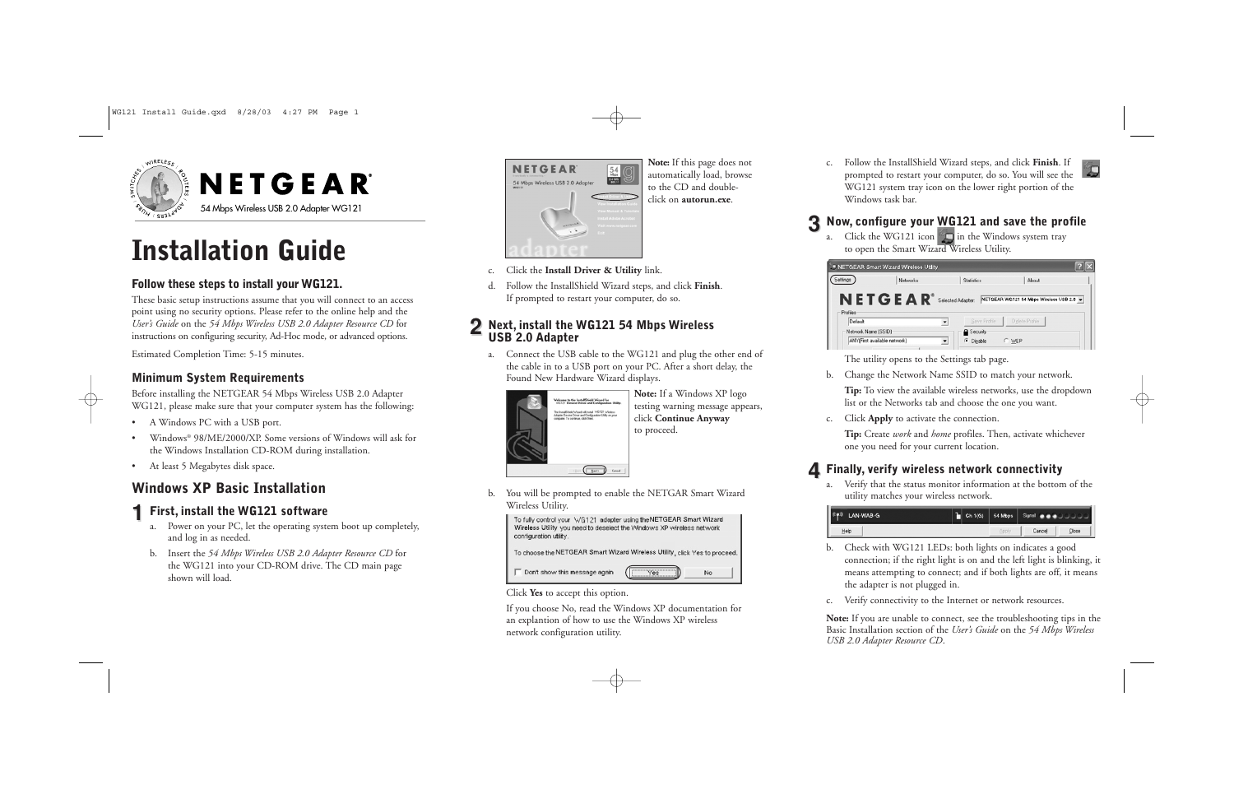

# **Installation Guide**

#### **Follow these steps to install your WG121.**

These basic setup instructions assume that you will connect to an access point using no security options. Please refer to the online help and the *User's Guide* on the *54 Mbps Wireless USB 2.0 Adapter Resource CD* for instructions on configuring security, Ad-Hoc mode, or advanced options.

Estimated Completion Time: 5-15 minutes.

#### **Minimum System Requirements**

Before installing the NETGEAR 54 Mbps Wireless USB 2.0 Adapter WG121, please make sure that your computer system has the following:

- A Windows PC with a USB port.
- Windows® 98/ME/2000/XP. Some versions of Windows will ask for the Windows Installation CD-ROM during installation.
- At least 5 Megabytes disk space.

### **Windows XP Basic Installation**

### **1 First, install the WG121 software**

- a. Power on your PC, let the operating system boot up completely, and log in as needed.
- b. Insert the *54 Mbps Wireless USB 2.0 Adapter Resource CD* for the WG121 into your CD-ROM drive. The CD main page shown will load.



**Note:** If this page does not automatically load, browse to the CD and doubleclick on **autorun.exe**.

- c. Click the **Install Driver & Utility** link.
- d. Follow the InstallShield Wizard steps, and click **Finish**. If prompted to restart your computer, do so.

# **<sup>2</sup> Next, install the WG121 54 Mbps Wireless USB 2.0 Adapter**

a. Connect the USB cable to the WG121 and plug the other end of the cable in to a USB port on your PC. After a short delay, the Found New Hardware Wizard displays.



**Note:** If a Windows XP logo testing warning message appears, click **Continue Anyway** to proceed.

b. You will be prompted to enable the NETGAR Smart Wizard Wireless Utility.



#### Click **Yes** to accept this option.

If you choose No, read the Windows XP documentation for an explantion of how to use the Windows XP wireless network configuration utility.

c. Follow the InstallShield Wizard steps, and click **Finish**. If prompted to restart your computer, do so. You will see the WG121 system tray icon on the lower right portion of the Windows task bar.

#### **3 Now, configure your WG121 and save the profile**

a. Click the WG121 icon  $\Box$  in the Windows system tray to open the Smart Wizard Wireless Utility.

|                     | Networks       | <b>Statistics</b> | About                                    |
|---------------------|----------------|-------------------|------------------------------------------|
|                     |                |                   |                                          |
|                     | <b>NETGEAR</b> | Selected Adapter: | NETGEAR WG121 54 Mbps Wireless USB 2.0 - |
| Profiles<br>Default |                | Save Profile      | Delete Profile                           |

The utility opens to the Settings tab page.

b. Change the Network Name SSID to match your network.

**Tip:** To view the available wireless networks, use the dropdown list or the Networks tab and choose the one you want.

c. Click **Apply** to activate the connection.

**Tip:** Create *work* and *home* profiles. Then, activate whichever one you need for your current location.

### **4 Finally, verify wireless network connectivity**

a. Verify that the status monitor information at the bottom of the utility matches your wireless network.

| 0.40<br>LAN-WAB-G |  | Ch 1(G) 54 Mbps Signal and a change of the |       |
|-------------------|--|--------------------------------------------|-------|
| Help              |  | Cancel                                     | Close |

- b. Check with WG121 LEDs: both lights on indicates a good connection; if the right light is on and the left light is blinking, it means attempting to connect; and if both lights are off, it means the adapter is not plugged in.
- c. Verify connectivity to the Internet or network resources.

**Note:** If you are unable to connect, see the troubleshooting tips in the Basic Installation section of the *User's Guide* on the *54 Mbps Wireless USB 2.0 Adapter Resource CD*.